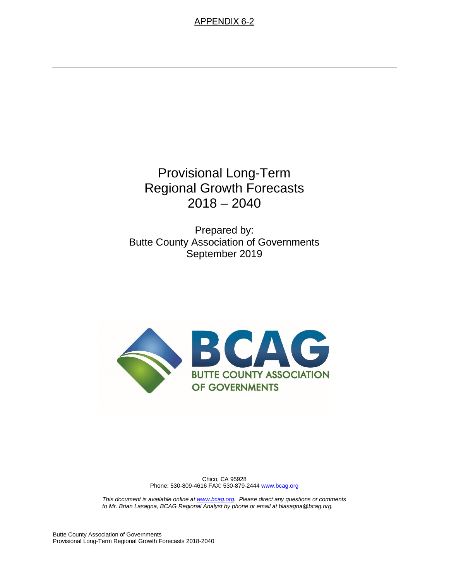# Provisional Long-Term Regional Growth Forecasts 2018 – 2040

Prepared by: Butte County Association of Governments September 2019



Chico, CA 95928 Phone: 530-809-4616 FAX: 530-879-2444 [www.bcag.org](http://www.bcag.org/)

*This document is available online a[t www.bcag.org.](http://www.bcag.org/) Please direct any questions or comments to Mr. Brian Lasagna, BCAG Regional Analyst by phone or email at blasagna@bcag.org.*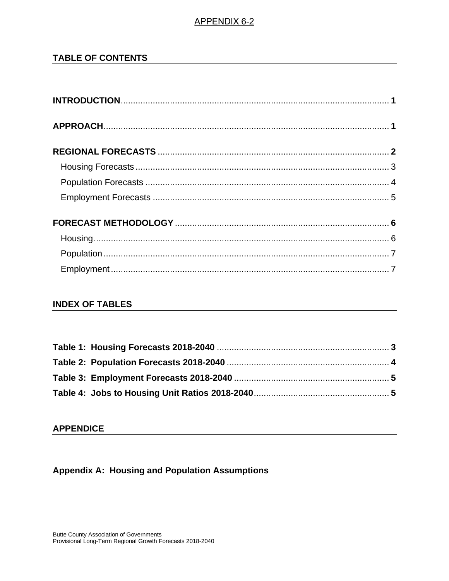# **TABLE OF CONTENTS**

# **INDEX OF TABLES**

### **APPENDICE**

**Appendix A: Housing and Population Assumptions**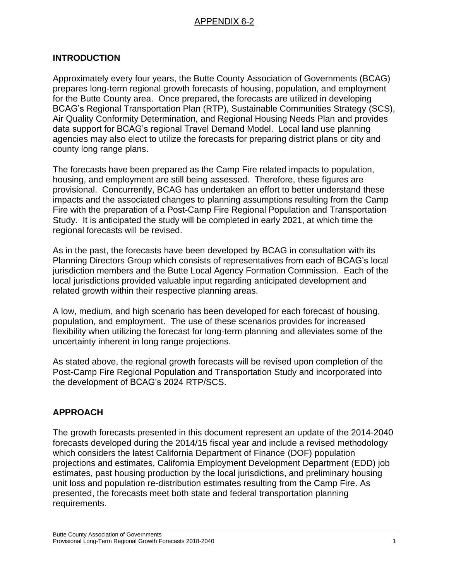# **INTRODUCTION**

Approximately every four years, the Butte County Association of Governments (BCAG) prepares long-term regional growth forecasts of housing, population, and employment for the Butte County area. Once prepared, the forecasts are utilized in developing BCAG's Regional Transportation Plan (RTP), Sustainable Communities Strategy (SCS), Air Quality Conformity Determination, and Regional Housing Needs Plan and provides data support for BCAG's regional Travel Demand Model. Local land use planning agencies may also elect to utilize the forecasts for preparing district plans or city and county long range plans.

The forecasts have been prepared as the Camp Fire related impacts to population, housing, and employment are still being assessed. Therefore, these figures are provisional. Concurrently, BCAG has undertaken an effort to better understand these impacts and the associated changes to planning assumptions resulting from the Camp Fire with the preparation of a Post-Camp Fire Regional Population and Transportation Study. It is anticipated the study will be completed in early 2021, at which time the regional forecasts will be revised.

As in the past, the forecasts have been developed by BCAG in consultation with its Planning Directors Group which consists of representatives from each of BCAG's local jurisdiction members and the Butte Local Agency Formation Commission. Each of the local jurisdictions provided valuable input regarding anticipated development and related growth within their respective planning areas.

A low, medium, and high scenario has been developed for each forecast of housing, population, and employment. The use of these scenarios provides for increased flexibility when utilizing the forecast for long-term planning and alleviates some of the uncertainty inherent in long range projections.

As stated above, the regional growth forecasts will be revised upon completion of the Post-Camp Fire Regional Population and Transportation Study and incorporated into the development of BCAG's 2024 RTP/SCS.

# **APPROACH**

The growth forecasts presented in this document represent an update of the 2014-2040 forecasts developed during the 2014/15 fiscal year and include a revised methodology which considers the latest California Department of Finance (DOF) population projections and estimates, California Employment Development Department (EDD) job estimates, past housing production by the local jurisdictions, and preliminary housing unit loss and population re-distribution estimates resulting from the Camp Fire. As presented, the forecasts meet both state and federal transportation planning requirements.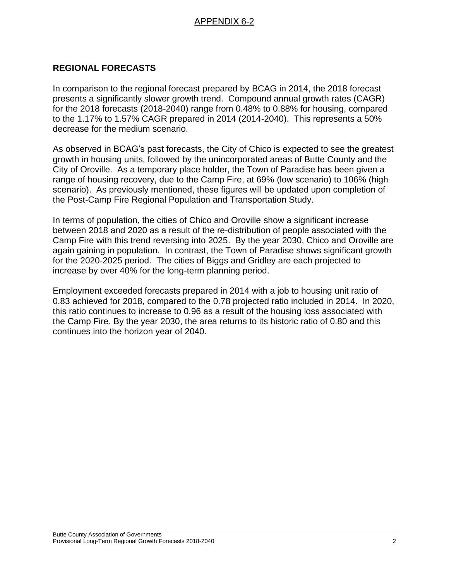# **REGIONAL FORECASTS**

In comparison to the regional forecast prepared by BCAG in 2014, the 2018 forecast presents a significantly slower growth trend. Compound annual growth rates (CAGR) for the 2018 forecasts (2018-2040) range from 0.48% to 0.88% for housing, compared to the 1.17% to 1.57% CAGR prepared in 2014 (2014-2040). This represents a 50% decrease for the medium scenario.

As observed in BCAG's past forecasts, the City of Chico is expected to see the greatest growth in housing units, followed by the unincorporated areas of Butte County and the City of Oroville. As a temporary place holder, the Town of Paradise has been given a range of housing recovery, due to the Camp Fire, at 69% (low scenario) to 106% (high scenario). As previously mentioned, these figures will be updated upon completion of the Post-Camp Fire Regional Population and Transportation Study.

In terms of population, the cities of Chico and Oroville show a significant increase between 2018 and 2020 as a result of the re-distribution of people associated with the Camp Fire with this trend reversing into 2025. By the year 2030, Chico and Oroville are again gaining in population. In contrast, the Town of Paradise shows significant growth for the 2020-2025 period. The cities of Biggs and Gridley are each projected to increase by over 40% for the long-term planning period.

Employment exceeded forecasts prepared in 2014 with a job to housing unit ratio of 0.83 achieved for 2018, compared to the 0.78 projected ratio included in 2014. In 2020, this ratio continues to increase to 0.96 as a result of the housing loss associated with the Camp Fire. By the year 2030, the area returns to its historic ratio of 0.80 and this continues into the horizon year of 2040.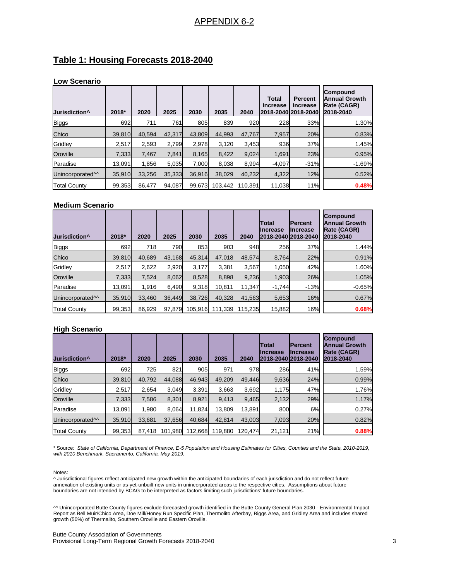#### **Table 1: Housing Forecasts 2018-2040**

#### **Low Scenario**

| Jurisdiction <sup>^</sup>    | 2018*  | 2020   | 2025   | 2030   | 2035    | 2040    | <b>Total</b><br><b>Increase</b><br>2018-2040 2018-2040 | <b>Percent</b><br><b>Increase</b> | Compound<br><b>Annual Growth</b><br>Rate (CAGR)<br>2018-2040 |
|------------------------------|--------|--------|--------|--------|---------|---------|--------------------------------------------------------|-----------------------------------|--------------------------------------------------------------|
| <b>Biggs</b>                 | 692    | 711    | 761    | 805    | 839     | 920     | 228                                                    | 33%                               | 1.30%                                                        |
| Chico                        | 39,810 | 40.594 | 42,317 | 43.809 | 44.993  | 47,767  | 7,957                                                  | 20%                               | 0.83%                                                        |
| Gridley                      | 2,517  | 2,593  | 2,799  | 2,978  | 3,120   | 3,453   | 936                                                    | 37%                               | 1.45%                                                        |
| Oroville                     | 7,333  | 7,467  | 7,841  | 8,165  | 8,422   | 9,024   | 1,691                                                  | 23%                               | 0.95%                                                        |
| Paradise                     | 13.091 | 1.856  | 5.035  | 7.000  | 8,038   | 8,994   | $-4,097$                                               | $-31%$                            | $-1.69%$                                                     |
| Unincorporated <sup>11</sup> | 35,910 | 33,256 | 35,333 | 36,916 | 38,029  | 40,232  | 4,322                                                  | 12%                               | 0.52%                                                        |
| <b>Total County</b>          | 99,353 | 86.477 | 94.087 | 99,673 | 103.442 | 110.391 | 11,038                                                 | 11%                               | 0.48%                                                        |

#### **Medium Scenario**

| Jurisdiction <sup>^</sup>    | 2018*  | 2020   | 2025   | 2030    | 2035    | 2040    | Total<br><b>IIncrease</b><br>2018-2040 2018-2040 | <b>IPercent</b><br>IIncrease | Compound<br><b>Annual Growth</b><br>Rate (CAGR)<br>2018-2040 |
|------------------------------|--------|--------|--------|---------|---------|---------|--------------------------------------------------|------------------------------|--------------------------------------------------------------|
| <b>Biggs</b>                 | 692    | 718    | 790    | 853     | 903     | 948     | 256                                              | 37%                          | 1.44%                                                        |
| Chico                        | 39,810 | 40.689 | 43.168 | 45,314  | 47.018  | 48,574  | 8,764                                            | 22%                          | 0.91%                                                        |
| Gridley                      | 2,517  | 2,622  | 2,920  | 3.177   | 3.381   | 3,567   | 1,050                                            | 42%                          | 1.60%                                                        |
| Oroville                     | 7.333  | 7.524  | 8,062  | 8,528   | 8.898   | 9,236   | 1,903                                            | 26%                          | 1.05%                                                        |
| Paradise                     | 13.091 | 1,916  | 6.490  | 9,318   | 10.811  | 11,347  | $-1.744$                                         | $-13%$                       | $-0.65%$                                                     |
| Unincorporated <sup>11</sup> | 35.910 | 33.460 | 36.449 | 38.726  | 40.328  | 41.563  | 5,653                                            | 16%                          | 0.67%                                                        |
| <b>Total County</b>          | 99,353 | 86,929 | 97.879 | 105.916 | 111,339 | 115.235 | 15,882                                           | 16%                          | 0.68%                                                        |

#### **High Scenario**

| Jurisdiction <sup>^</sup>    | 2018*  | 2020   | 2025    | 2030    | 2035    | 2040    | Total<br>IIncrease<br>2018-2040 2018-2040 | <b>IPercent</b><br>IIncrease | <b>Compound</b><br><b>Annual Growth</b><br>Rate (CAGR)<br>2018-2040 |
|------------------------------|--------|--------|---------|---------|---------|---------|-------------------------------------------|------------------------------|---------------------------------------------------------------------|
| <b>Biggs</b>                 | 692    | 725    | 821     | 905     | 971     | 978     | 286                                       | 41%                          | 1.59%                                                               |
| Chico                        | 39,810 | 40,792 | 44.088  | 46,943  | 49,209  | 49,446  | 9,636                                     | 24%                          | 0.99%                                                               |
| Gridley                      | 2,517  | 2.654  | 3.049   | 3,391   | 3,663   | 3,692   | 1,175                                     | 47%                          | 1.76%                                                               |
| Oroville                     | 7,333  | 7,586  | 8.301   | 8.921   | 9,413   | 9,465   | 2,132                                     | 29%                          | 1.17%                                                               |
| Paradise                     | 13,091 | 1,980  | 8,064   | 11,824  | 13,809  | 13,891  | 800                                       | 6%                           | 0.27%                                                               |
| Unincorporated <sup>11</sup> | 35,910 | 33,681 | 37,656  | 40,684  | 42,814  | 43,003  | 7,093                                     | 20%                          | 0.82%                                                               |
| <b>Total County</b>          | 99,353 | 87.418 | 101,980 | 112,668 | 119,880 | 120.474 | 21,121                                    | 21%                          | 0.88%                                                               |

\* Source: *State of California, Department of Finance, E-5 Population and Housing Estimates for Cities, Counties and the State, 2010-2019, with 2010 Benchmark. Sacramento, California, May 2019.*

#### Notes:

^ Jurisdictional figures reflect anticipated new growth within the anticipated boundaries of each jurisdiction and do not reflect future annexation of existing units or as-yet-unbuilt new units in unincorporated areas to the respective cities. Assumptions about future boundaries are not intended by BCAG to be interpreted as factors limiting such jurisdictions' future boundaries.

^^ Unincorporated Butte County figures exclude forecasted growth identified in the Butte County General Plan 2030 - Environmental Impact Report as Bell Muir/Chico Area, Doe Mill/Honey Run Specific Plan, Thermolito Afterbay, Biggs Area, and Gridley Area and includes shared growth (50%) of Thermalito, Southern Oroville and Eastern Oroville.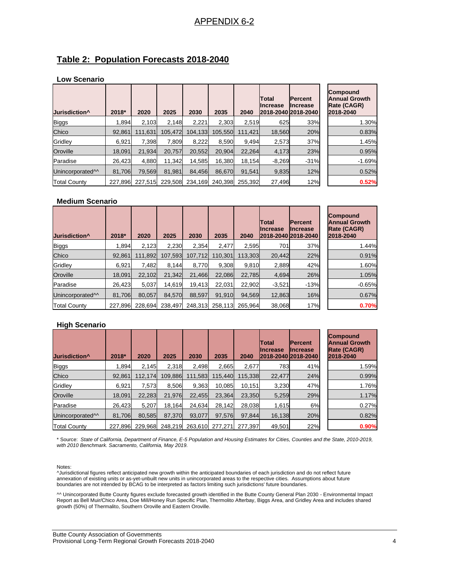# **Table 2: Population Forecasts 2018-2040**

#### **Low Scenario**

| Jurisdiction <sup>^</sup>    | 2018*   | 2020    | 2025    | 2030    | 2035    | 2040    | Total<br><b>Increase</b> | <b>Percent</b><br><b>Increase</b><br>2018-2040 2018-2040 | <b>Compound</b><br><b>Annual Growth</b><br>Rate (CAGR)<br>2018-2040 |
|------------------------------|---------|---------|---------|---------|---------|---------|--------------------------|----------------------------------------------------------|---------------------------------------------------------------------|
| <b>Biggs</b>                 | 1.894   | 2,103   | 2.148   | 2,221   | 2.303   | 2.519   | 625                      | 33%                                                      | 1.30%                                                               |
| Chico                        | 92.861  | 111,631 | 105.472 | 104,133 | 105.550 | 111.421 | 18,560                   | 20%                                                      | 0.83%                                                               |
| Gridley                      | 6,921   | 7.398   | 7.809   | 8,222   | 8.590   | 9,494   | 2,573                    | 37%                                                      | 1.45%                                                               |
| Oroville                     | 18.091  | 21.934  | 20.757  | 20.552  | 20.904  | 22.264  | 4,173                    | 23%                                                      | 0.95%                                                               |
| Paradise                     | 26.423  | 4,880   | 11.342  | 14,585  | 16,380  | 18.154  | $-8,269$                 | $-31%$                                                   | $-1.69%$                                                            |
| Unincorporated <sup>11</sup> | 81.706  | 79.569  | 81.981  | 84.456  | 86,670  | 91.541  | 9,835                    | 12%                                                      | 0.52%                                                               |
| <b>Total County</b>          | 227.896 | 227.515 | 229.508 | 234,169 | 240.398 | 255.392 | 27,496                   | 12%                                                      | 0.52%                                                               |

#### **Medium Scenario**

| Jurisdiction <sup>^</sup>    | 2018*   | 2020    | 2025    | 2030    | 2035    | 2040    | Total<br>IIncrease | <b>Percent</b><br><b>Increase</b><br>2018-2040 2018-2040 | <b>Compound</b><br><b>Annual Growth</b><br>Rate (CAGR)<br>2018-2040 |
|------------------------------|---------|---------|---------|---------|---------|---------|--------------------|----------------------------------------------------------|---------------------------------------------------------------------|
| Biggs                        | 1.894   | 2.123   | 2,230   | 2.354   | 2.477   | 2,595   | 701                | 37%                                                      | 1.44%                                                               |
| Chico                        | 92.861  | 111.892 | 107.593 | 107.712 | 110.301 | 113.303 | 20.442             | 22%                                                      | 0.91%                                                               |
| Gridley                      | 6,921   | 7.482   | 8,144   | 8,770   | 9,308   | 9,810   | 2,889              | 42%                                                      | 1.60%                                                               |
| Oroville                     | 18.091  | 22.102  | 21.342  | 21.466  | 22.086  | 22.785  | 4,694              | 26%                                                      | 1.05%                                                               |
| Paradise                     | 26.423  | 5,037   | 14,619  | 19,413  | 22.031  | 22,902  | $-3,521$           | $-13%$                                                   | $-0.65%$                                                            |
| Unincorporated <sup>11</sup> | 81.706  | 80.057  | 84.570  | 88.597  | 91.910  | 94.569  | 12,863             | 16%                                                      | 0.67%                                                               |
| <b>Total County</b>          | 227.896 | 228.694 | 238.497 | 248.313 | 258.113 | 265.964 | 38,068             | 17%                                                      | 0.70%                                                               |

#### **High Scenario**

| Jurisdiction <sup>^</sup>    | 2018*   | 2020    | 2025    | 2030    | 2035    | 2040    | <b>Total</b><br><b>Increase</b> | <b>Percent</b><br><b>Increase</b><br>2018-2040 2018-2040 | <b>Compound</b><br><b>Annual Growth</b><br><b>Rate (CAGR)</b><br>2018-2040 |
|------------------------------|---------|---------|---------|---------|---------|---------|---------------------------------|----------------------------------------------------------|----------------------------------------------------------------------------|
| <b>Biggs</b>                 | 1.894   | 2,145   | 2,318   | 2,498   | 2,665   | 2,677   | 783                             | 41%                                                      | 1.59%                                                                      |
| Chico                        | 92.861  | 112.174 | 109.886 | 111.583 | 115.440 | 115.338 | 22.477                          | 24%                                                      | 0.99%                                                                      |
| Gridley                      | 6,921   | 7,573   | 8,506   | 9,363   | 10,085  | 10.151  | 3,230                           | 47%                                                      | 1.76%                                                                      |
| Oroville                     | 18.091  | 22,283  | 21.976  | 22.455  | 23.364  | 23.350  | 5,259                           | 29%                                                      | 1.17%                                                                      |
| Paradise                     | 26,423  | 5,207   | 18,164  | 24,634  | 28,142  | 28,038  | 1,615                           | 6%                                                       | 0.27%                                                                      |
| Unincorporated <sup>11</sup> | 81.706  | 80,585  | 87.370  | 93,077  | 97,576  | 97.844  | 16,138                          | 20%                                                      | 0.82%                                                                      |
| <b>Total County</b>          | 227.896 | 229.968 | 248.219 | 263.610 | 277.271 | 277.397 | 49.501                          | 22%                                                      | 0.90%                                                                      |

\* Source: *State of California, Department of Finance, E-5 Population and Housing Estimates for Cities, Counties and the State, 2010-2019, with 2010 Benchmark. Sacramento, California, May 2019.*

Notes:

^Jurisdictional figures reflect anticipated new growth within the anticipated boundaries of each jurisdiction and do not reflect future annexation of existing units or as-yet-unbuilt new units in unincorporated areas to the respective cities. Assumptions about future boundaries are not intended by BCAG to be interpreted as factors limiting such jurisdictions' future boundaries.

^^ Unincorporated Butte County figures exclude forecasted growth identified in the Butte County General Plan 2030 - Environmental Impact Report as Bell Muir/Chico Area, Doe Mill/Honey Run Specific Plan, Thermolito Afterbay, Biggs Area, and Gridley Area and includes shared growth (50%) of Thermalito, Southern Oroville and Eastern Oroville.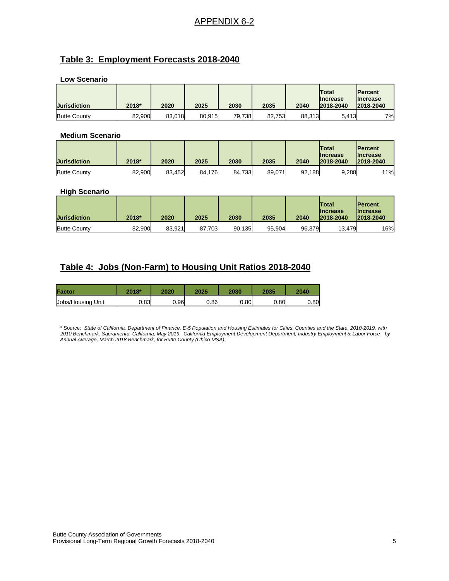# **Table 3: Employment Forecasts 2018-2040**

**Low Scenario** 

| <b>Jurisdiction</b> | 2018*  | 2020   | 2025   | 2030   | 2035   | 2040   | <b>Total</b><br><b>Increase</b><br>2018-2040 | <b>Percent</b><br><b>Increase</b><br>2018-2040 |
|---------------------|--------|--------|--------|--------|--------|--------|----------------------------------------------|------------------------------------------------|
| <b>Butte County</b> | 82,900 | 83.018 | 80,915 | 79,738 | 82,753 | 88.313 | 5,413                                        | 7%                                             |

#### **Medium Scenario**

| <b>Jurisdiction</b> | 2018*  | 2020   | 2025   | 2030   | 2035   | 2040   | lTotal<br><b>Ilncrease</b><br>2018-2040 | <b>IPercent</b><br><b>Ilncrease</b><br>2018-2040 |
|---------------------|--------|--------|--------|--------|--------|--------|-----------------------------------------|--------------------------------------------------|
| <b>Butte County</b> | 82.900 | 83.452 | 84.176 | 84.733 | 89,071 | 92.188 | 9.288                                   | 11%                                              |

#### **High Scenario**

| <b>Jurisdiction</b> | 2018*  | 2020   | 2025   | 2030   | 2035   | 2040   | <b>Total</b><br><b>Increase</b><br>2018-2040 | <b>IPercent</b><br><b>Ilncrease</b><br>2018-2040 |
|---------------------|--------|--------|--------|--------|--------|--------|----------------------------------------------|--------------------------------------------------|
| <b>Butte County</b> | 82.900 | 83.921 | 87,703 | 90,135 | 95.904 | 96,379 | 13,479                                       | 16%                                              |

# **Table 4: Jobs (Non-Farm) to Housing Unit Ratios 2018-2040**

| Factor            | 2018* | 2020  | 2025 | 2030 | 2035 | 2040 |
|-------------------|-------|-------|------|------|------|------|
| Jobs/Housing Unit | 0.83  | ا96.ر | 0.86 | 0.80 | 0.80 | 0.80 |

\* Source: *State of California, Department of Finance, E-5 Population and Housing Estimates for Cities, Counties and the State, 2010-2019, with 2010 Benchmark. Sacramento, California, May 2019. California Employment Development Department, Industry Employment & Labor Force - by Annual Average, March 2018 Benchmark, for Butte County (Chico MSA).*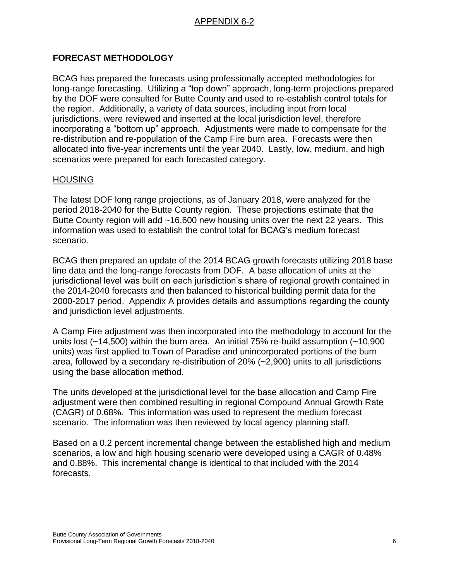# **FORECAST METHODOLOGY**

BCAG has prepared the forecasts using professionally accepted methodologies for long-range forecasting. Utilizing a "top down" approach, long-term projections prepared by the DOF were consulted for Butte County and used to re-establish control totals for the region. Additionally, a variety of data sources, including input from local jurisdictions, were reviewed and inserted at the local jurisdiction level, therefore incorporating a "bottom up" approach. Adjustments were made to compensate for the re-distribution and re-population of the Camp Fire burn area. Forecasts were then allocated into five-year increments until the year 2040. Lastly, low, medium, and high scenarios were prepared for each forecasted category.

#### **HOUSING**

The latest DOF long range projections, as of January 2018, were analyzed for the period 2018-2040 for the Butte County region. These projections estimate that the Butte County region will add ~16,600 new housing units over the next 22 years. This information was used to establish the control total for BCAG's medium forecast scenario.

BCAG then prepared an update of the 2014 BCAG growth forecasts utilizing 2018 base line data and the long-range forecasts from DOF. A base allocation of units at the jurisdictional level was built on each jurisdiction's share of regional growth contained in the 2014-2040 forecasts and then balanced to historical building permit data for the 2000-2017 period. Appendix A provides details and assumptions regarding the county and jurisdiction level adjustments.

A Camp Fire adjustment was then incorporated into the methodology to account for the units lost (~14,500) within the burn area. An initial 75% re-build assumption (~10,900 units) was first applied to Town of Paradise and unincorporated portions of the burn area, followed by a secondary re-distribution of 20% (~2,900) units to all jurisdictions using the base allocation method.

The units developed at the jurisdictional level for the base allocation and Camp Fire adjustment were then combined resulting in regional Compound Annual Growth Rate (CAGR) of 0.68%. This information was used to represent the medium forecast scenario. The information was then reviewed by local agency planning staff.

Based on a 0.2 percent incremental change between the established high and medium scenarios, a low and high housing scenario were developed using a CAGR of 0.48% and 0.88%. This incremental change is identical to that included with the 2014 forecasts.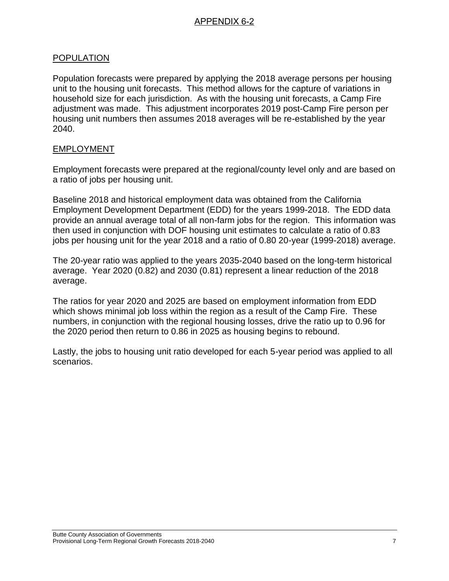### POPULATION

Population forecasts were prepared by applying the 2018 average persons per housing unit to the housing unit forecasts. This method allows for the capture of variations in household size for each jurisdiction. As with the housing unit forecasts, a Camp Fire adjustment was made. This adjustment incorporates 2019 post-Camp Fire person per housing unit numbers then assumes 2018 averages will be re-established by the year 2040.

#### EMPLOYMENT

Employment forecasts were prepared at the regional/county level only and are based on a ratio of jobs per housing unit.

Baseline 2018 and historical employment data was obtained from the California Employment Development Department (EDD) for the years 1999-2018. The EDD data provide an annual average total of all non-farm jobs for the region. This information was then used in conjunction with DOF housing unit estimates to calculate a ratio of 0.83 jobs per housing unit for the year 2018 and a ratio of 0.80 20-year (1999-2018) average.

The 20-year ratio was applied to the years 2035-2040 based on the long-term historical average. Year 2020 (0.82) and 2030 (0.81) represent a linear reduction of the 2018 average.

The ratios for year 2020 and 2025 are based on employment information from EDD which shows minimal job loss within the region as a result of the Camp Fire. These numbers, in conjunction with the regional housing losses, drive the ratio up to 0.96 for the 2020 period then return to 0.86 in 2025 as housing begins to rebound.

Lastly, the jobs to housing unit ratio developed for each 5-year period was applied to all scenarios.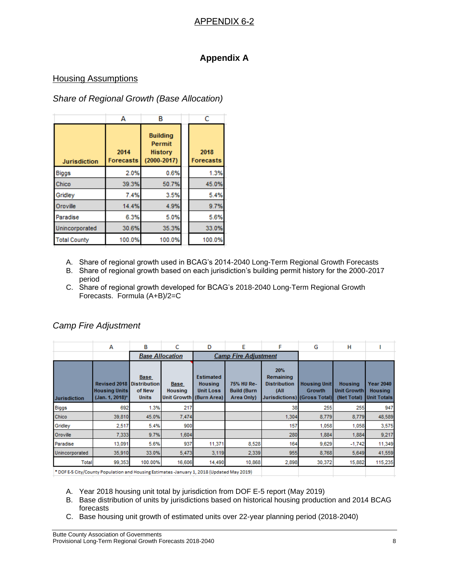# **Appendix A**

#### Housing Assumptions

# *Share of Regional Growth (Base Allocation)*

|                     | А                        | в                                                       |  | с                        |
|---------------------|--------------------------|---------------------------------------------------------|--|--------------------------|
| <b>Jurisdiction</b> | 2014<br><b>Forecasts</b> | <b>Building</b><br>Permit<br>History<br>$(2000 - 2017)$ |  | 2018<br><b>Forecasts</b> |
| <b>Biggs</b>        | 2.0%                     | 0.6%                                                    |  | 1.3%                     |
| Chico               | 39.3%                    | 50.7%                                                   |  | 45.0%                    |
| Gridley             | 7.4%                     | 3.5%                                                    |  | 5.4%                     |
| Oroville            | 14.4%                    | 4.9%                                                    |  | 9.7%                     |
| Paradise            | 6.3%                     | 5.0%                                                    |  | 5.6%                     |
| Unincorporated      | 30.6%                    | 35.3%                                                   |  | 33.0%                    |
| <b>Total County</b> | 100.0%                   | 100.0%                                                  |  | 100.0%                   |

- A. Share of regional growth used in BCAG's 2014-2040 Long-Term Regional Growth Forecasts
- B. Share of regional growth based on each jurisdiction's building permit history for the 2000-2017 period
- C. Share of regional growth developed for BCAG's 2018-2040 Long-Term Regional Growth Forecasts. Formula (A+B)/2=C

|                     | A                                                              | в                                                            | C                             | D                                                                                 | E                                              | F                                                                               | G                                    | н                                                   |                                                          |
|---------------------|----------------------------------------------------------------|--------------------------------------------------------------|-------------------------------|-----------------------------------------------------------------------------------|------------------------------------------------|---------------------------------------------------------------------------------|--------------------------------------|-----------------------------------------------------|----------------------------------------------------------|
|                     |                                                                | <b>Base Allocation</b>                                       |                               | <b>Camp Fire Adjustment</b>                                                       |                                                |                                                                                 |                                      |                                                     |                                                          |
| <b>Jurisdiction</b> | <b>Revised 2018</b><br><b>Housing Units</b><br>(Jan. 1, 2018)* | <b>Base</b><br><b>Distribution</b><br>of New<br><b>Units</b> | <b>Base</b><br><b>Housing</b> | <b>Estimated</b><br><b>Housing</b><br><b>Unit Loss</b><br>Unit Growth (Burn Area) | 75% HU Re-<br><b>Build (Burn</b><br>Area Only) | 20%<br>Remaining<br><b>Distribution</b><br>(All<br>Jurisdictions) (Gross Total) | <b>Housing Unit</b><br><b>Growth</b> | <b>Housing</b><br><b>Unit Growth</b><br>(Net Total) | <b>Year 2040</b><br><b>Housing</b><br><b>Unit Totals</b> |
| <b>Biggs</b>        | 692                                                            | 1.3%                                                         | 217                           |                                                                                   |                                                | 38                                                                              | 255                                  | 255                                                 | 947                                                      |
| Chico               | 39,810                                                         | 45.0%                                                        | 7,474                         |                                                                                   |                                                | 1,304                                                                           | 8,779                                | 8,779                                               | 48,589                                                   |
| Gridley             | 2,517                                                          | 5.4%                                                         | 900                           |                                                                                   |                                                | 157                                                                             | 1,058                                | 1,058                                               | 3,575                                                    |
| Oroville            | 7,333                                                          | 9.7%                                                         | 1,604                         |                                                                                   |                                                | 280                                                                             | 1,884                                | 1,884                                               | 9,217                                                    |
| Paradise            | 13,091                                                         | 5.6%                                                         | 937                           | 11,371                                                                            | 8.528                                          | 164                                                                             | 9,629                                | $-1,742$                                            | 11,349                                                   |
| Unincorporated      | 35,910                                                         | 33.0%                                                        | 5,473                         | 3,119                                                                             | 2,339                                          | 955                                                                             | 8,768                                | 5,649                                               | 41,559                                                   |
| Total               | 99,353                                                         | 100.00%                                                      | 16,606                        | 14,490                                                                            | 10,868                                         | 2,898                                                                           | 30,372                               | 15,882                                              | 115,235                                                  |

#### *Camp Fire Adjustment*

\* DOF E-5 City/County Population and Housing Estimates -January 1, 2018 (Updated May 2019)

- A. Year 2018 housing unit total by jurisdiction from DOF E-5 report (May 2019)
- B. Base distribution of units by jurisdictions based on historical housing production and 2014 BCAG forecasts
- C. Base housing unit growth of estimated units over 22-year planning period (2018-2040)